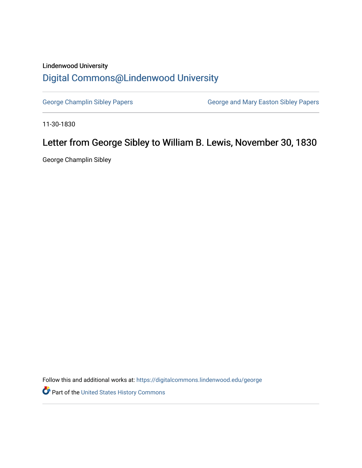## Lindenwood University [Digital Commons@Lindenwood University](https://digitalcommons.lindenwood.edu/)

[George Champlin Sibley Papers](https://digitalcommons.lindenwood.edu/george) **George and Mary Easton Sibley Papers** George and Mary Easton Sibley Papers

11-30-1830

## Letter from George Sibley to William B. Lewis, November 30, 1830

George Champlin Sibley

Follow this and additional works at: [https://digitalcommons.lindenwood.edu/george](https://digitalcommons.lindenwood.edu/george?utm_source=digitalcommons.lindenwood.edu%2Fgeorge%2F291&utm_medium=PDF&utm_campaign=PDFCoverPages)

Part of the [United States History Commons](http://network.bepress.com/hgg/discipline/495?utm_source=digitalcommons.lindenwood.edu%2Fgeorge%2F291&utm_medium=PDF&utm_campaign=PDFCoverPages)